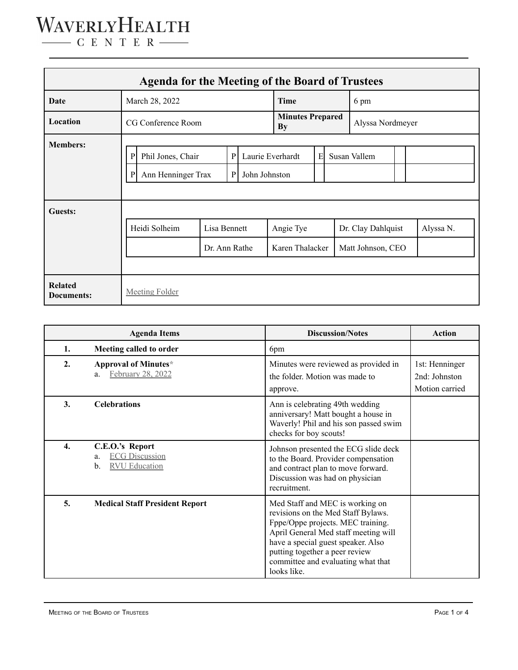| <b>Agenda for the Meeting of the Board of Trustees</b> |                                                                                                                                              |                               |  |  |                               |  |              |                                         |  |           |  |
|--------------------------------------------------------|----------------------------------------------------------------------------------------------------------------------------------------------|-------------------------------|--|--|-------------------------------|--|--------------|-----------------------------------------|--|-----------|--|
| Date                                                   | March 28, 2022                                                                                                                               |                               |  |  | Time                          |  |              | 6 pm                                    |  |           |  |
| Location                                               | CG Conference Room                                                                                                                           |                               |  |  | <b>Minutes Prepared</b><br>By |  |              | Alyssa Nordmeyer                        |  |           |  |
| <b>Members:</b>                                        | $\mathbf{P}$<br>Laurie Everhardt<br>$\mathbf{P}$<br>Phil Jones, Chair<br>Ann Henninger Trax<br>$\mathbf{P}$<br>John Johnston<br>$\mathbf{P}$ |                               |  |  | E                             |  | Susan Vallem |                                         |  |           |  |
| <b>Guests:</b>                                         | Heidi Solheim                                                                                                                                | Lisa Bennett<br>Dr. Ann Rathe |  |  | Angie Tye<br>Karen Thalacker  |  |              | Dr. Clay Dahlquist<br>Matt Johnson, CEO |  | Alyssa N. |  |
| <b>Related</b><br>Documents:                           | <b>Meeting Folder</b>                                                                                                                        |                               |  |  |                               |  |              |                                         |  |           |  |

| <b>Agenda Items</b> |                                                                              | <b>Discussion/Notes</b>                                                                                                                                                                                                                                                         | <b>Action</b>                                     |
|---------------------|------------------------------------------------------------------------------|---------------------------------------------------------------------------------------------------------------------------------------------------------------------------------------------------------------------------------------------------------------------------------|---------------------------------------------------|
| 1.                  | Meeting called to order                                                      | 6pm                                                                                                                                                                                                                                                                             |                                                   |
| 2.                  | Approval of Minutes*<br>February 28, 2022<br>a.                              | Minutes were reviewed as provided in<br>the folder. Motion was made to<br>approve.                                                                                                                                                                                              | 1st: Henninger<br>2nd: Johnston<br>Motion carried |
| 3.                  | <b>Celebrations</b>                                                          | Ann is celebrating 49th wedding<br>anniversary! Matt bought a house in<br>Waverly! Phil and his son passed swim<br>checks for boy scouts!                                                                                                                                       |                                                   |
| 4.                  | C.E.O.'s Report<br><b>ECG Discussion</b><br>a.<br><b>RVU</b> Education<br>b. | Johnson presented the ECG slide deck<br>to the Board. Provider compensation<br>and contract plan to move forward.<br>Discussion was had on physician<br>recruitment.                                                                                                            |                                                   |
| 5.                  | <b>Medical Staff President Report</b>                                        | Med Staff and MEC is working on<br>revisions on the Med Staff Bylaws.<br>Fppe/Oppe projects. MEC training.<br>April General Med staff meeting will<br>have a special guest speaker. Also<br>putting together a peer review<br>committee and evaluating what that<br>looks like. |                                                   |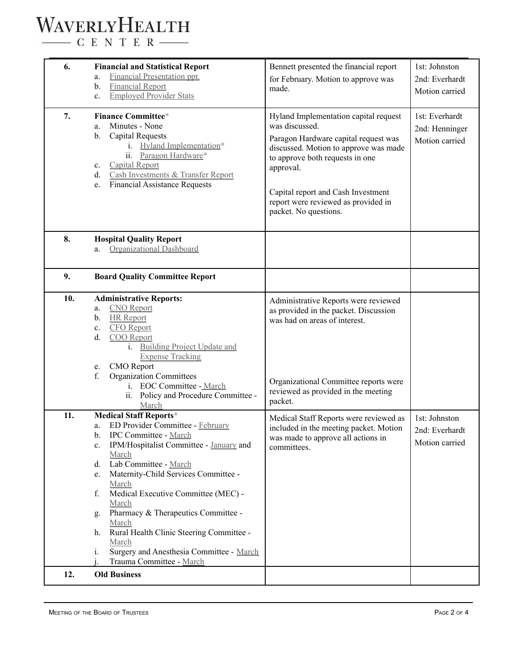## WAVERLYHEALTH

 $\begin{tabular}{c} \quad \quad \textbf{C} \textbf{E} \textbf{N} \textbf{T} \textbf{E} \textbf{R} \end{tabular}$ 

| 6.  | <b>Financial and Statistical Report</b><br><b>Financial Presentation ppt.</b><br>a.<br><b>Financial Report</b><br>$\mathbf b$ .<br><b>Employed Provider Stats</b><br>$\mathbf{c}$ .                                                                                                                                                                                                                                                                                                                         | Bennett presented the financial report<br>for February. Motion to approve was<br>made.                                                                                                                                                                                                         | 1st: Johnston<br>2nd: Everhardt<br>Motion carried  |
|-----|-------------------------------------------------------------------------------------------------------------------------------------------------------------------------------------------------------------------------------------------------------------------------------------------------------------------------------------------------------------------------------------------------------------------------------------------------------------------------------------------------------------|------------------------------------------------------------------------------------------------------------------------------------------------------------------------------------------------------------------------------------------------------------------------------------------------|----------------------------------------------------|
| 7.  | <b>Finance Committee*</b><br>Minutes - None<br>a.<br><b>Capital Requests</b><br>b.<br>i. Hyland Implementation*<br>ii. Paragon Hardware*<br><b>Capital Report</b><br>$\mathbf{c}$ .<br>Cash Investments & Transfer Report<br>d.<br><b>Financial Assistance Requests</b><br>e.                                                                                                                                                                                                                               | Hyland Implementation capital request<br>was discussed.<br>Paragon Hardware capital request was<br>discussed. Motion to approve was made<br>to approve both requests in one<br>approval.<br>Capital report and Cash Investment<br>report were reviewed as provided in<br>packet. No questions. | 1st: Everhardt<br>2nd: Henninger<br>Motion carried |
| 8.  | <b>Hospital Quality Report</b><br>Organizational Dashboard<br>a.                                                                                                                                                                                                                                                                                                                                                                                                                                            |                                                                                                                                                                                                                                                                                                |                                                    |
| 9.  | <b>Board Quality Committee Report</b>                                                                                                                                                                                                                                                                                                                                                                                                                                                                       |                                                                                                                                                                                                                                                                                                |                                                    |
| 10. | <b>Administrative Reports:</b><br><b>CNO</b> Report<br>a.<br><b>HR</b> Report<br>b.<br><b>CFO</b> Report<br>c.<br>d.<br>COO Report<br><b>Building Project Update and</b><br>$\mathbf{1}$ .<br><b>Expense Tracking</b><br><b>CMO</b> Report<br>e.<br><b>Organization Committees</b><br>f.<br>i. EOC Committee - March<br>ii. Policy and Procedure Committee -<br>March                                                                                                                                       | Administrative Reports were reviewed<br>as provided in the packet. Discussion<br>was had on areas of interest.<br>Organizational Committee reports were<br>reviewed as provided in the meeting<br>packet.                                                                                      |                                                    |
| 11. | <b>Medical Staff Reports*</b><br>ED Provider Committee - February<br>a.<br>b.<br>IPC Committee - March<br>c. IPM/Hospitalist Committee - January and<br>March<br>Lab Committee - March<br>d.<br>Maternity-Child Services Committee -<br>e.<br>March<br>Medical Executive Committee (MEC) -<br>f.<br>March<br>Pharmacy & Therapeutics Committee -<br>g.<br>March<br>Rural Health Clinic Steering Committee -<br>h.<br>March<br>Surgery and Anesthesia Committee - March<br>$i$ .<br>Trauma Committee - March | Medical Staff Reports were reviewed as<br>included in the meeting packet. Motion<br>was made to approve all actions in<br>committees.                                                                                                                                                          | 1st: Johnston<br>2nd: Everhardt<br>Motion carried  |
| 12. | <b>Old Business</b>                                                                                                                                                                                                                                                                                                                                                                                                                                                                                         |                                                                                                                                                                                                                                                                                                |                                                    |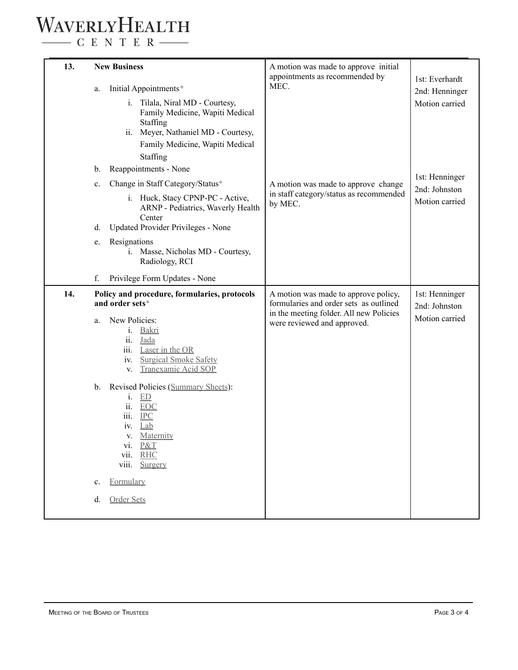## WAVERLYHEALTH

 $\begin{tabular}{c} \quad \quad \textbf{C} \quad E \quad N \quad T \quad E \quad R \end{tabular}$ 

| 13. | a.<br>b.<br>c.<br>d.<br>e.<br>f. | <b>New Business</b><br>Initial Appointments*<br>i. Tilala, Niral MD - Courtesy,<br>Family Medicine, Wapiti Medical<br>Staffing<br>Meyer, Nathaniel MD - Courtesy,<br>ii.<br>Family Medicine, Wapiti Medical<br>Staffing<br>Reappointments - None<br>Change in Staff Category/Status*<br>i. Huck, Stacy CPNP-PC - Active,<br>ARNP - Pediatrics, Waverly Health<br>Center<br>Updated Provider Privileges - None<br>Resignations<br>i. Masse, Nicholas MD - Courtesy,<br>Radiology, RCI<br>Privilege Form Updates - None | A motion was made to approve initial<br>appointments as recommended by<br>MEC.<br>A motion was made to approve change<br>in staff category/status as recommended<br>by MEC. | 1st: Everhardt<br>2nd: Henninger<br>Motion carried<br>1st: Henninger<br>2nd: Johnston<br>Motion carried |
|-----|----------------------------------|-----------------------------------------------------------------------------------------------------------------------------------------------------------------------------------------------------------------------------------------------------------------------------------------------------------------------------------------------------------------------------------------------------------------------------------------------------------------------------------------------------------------------|-----------------------------------------------------------------------------------------------------------------------------------------------------------------------------|---------------------------------------------------------------------------------------------------------|
| 14. |                                  | Policy and procedure, formularies, protocols                                                                                                                                                                                                                                                                                                                                                                                                                                                                          | A motion was made to approve policy,                                                                                                                                        | 1st: Henninger                                                                                          |
|     | a.<br>b.                         | and order sets*<br>New Policies:<br>Bakri<br>$i$ .<br>ii.<br>Jada<br>iii.<br>Laser in the OR<br><b>Surgical Smoke Safety</b><br>iv.<br>Tranexamic Acid SOP<br>V.<br>Revised Policies (Summary Sheets):<br>ED<br>$\mathbf{1}$ .<br>ii.<br><b>EOC</b><br>iii.<br>$IPC$<br>Lab<br>iv.<br>Maternity<br>V.<br>vi. P&T<br>vii.<br><b>RHC</b><br>viii.<br>Surgery                                                                                                                                                            | formularies and order sets as outlined<br>in the meeting folder. All new Policies<br>were reviewed and approved.                                                            | 2nd: Johnston<br>Motion carried                                                                         |
|     | $\mathbf{c}$ .                   | Formulary                                                                                                                                                                                                                                                                                                                                                                                                                                                                                                             |                                                                                                                                                                             |                                                                                                         |
|     | d.                               | Order Sets                                                                                                                                                                                                                                                                                                                                                                                                                                                                                                            |                                                                                                                                                                             |                                                                                                         |